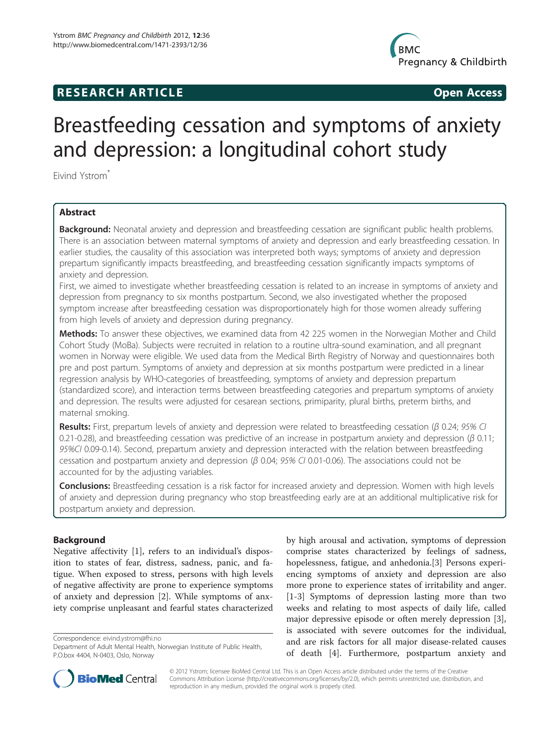# **RESEARCH ARTICLE Example 2014 CONSIDERING CONSIDERING CONSIDERING CONSIDERING CONSIDERING CONSIDERING CONSIDERING CONSIDERING CONSIDERING CONSIDERING CONSIDERING CONSIDERING CONSIDERING CONSIDERING CONSIDERING CONSIDE**



# Breastfeeding cessation and symptoms of anxiety and depression: a longitudinal cohort study

Eivind Ystrom<sup>\*</sup>

# Abstract

**Background:** Neonatal anxiety and depression and breastfeeding cessation are significant public health problems. There is an association between maternal symptoms of anxiety and depression and early breastfeeding cessation. In earlier studies, the causality of this association was interpreted both ways; symptoms of anxiety and depression prepartum significantly impacts breastfeeding, and breastfeeding cessation significantly impacts symptoms of anxiety and depression.

First, we aimed to investigate whether breastfeeding cessation is related to an increase in symptoms of anxiety and depression from pregnancy to six months postpartum. Second, we also investigated whether the proposed symptom increase after breastfeeding cessation was disproportionately high for those women already suffering from high levels of anxiety and depression during pregnancy.

Methods: To answer these objectives, we examined data from 42 225 women in the Norwegian Mother and Child Cohort Study (MoBa). Subjects were recruited in relation to a routine ultra-sound examination, and all pregnant women in Norway were eligible. We used data from the Medical Birth Registry of Norway and questionnaires both pre and post partum. Symptoms of anxiety and depression at six months postpartum were predicted in a linear regression analysis by WHO-categories of breastfeeding, symptoms of anxiety and depression prepartum (standardized score), and interaction terms between breastfeeding categories and prepartum symptoms of anxiety and depression. The results were adjusted for cesarean sections, primiparity, plural births, preterm births, and maternal smoking.

Results: First, prepartum levels of anxiety and depression were related to breastfeeding cessation ( $\beta$  0.24; 95% CI 0.21-0.28), and breastfeeding cessation was predictive of an increase in postpartum anxiety and depression  $(\beta 0.11;$ 95%CI 0.09-0.14). Second, prepartum anxiety and depression interacted with the relation between breastfeeding cessation and postpartum anxiety and depression (β 0.04; 95% CI 0.01-0.06). The associations could not be accounted for by the adjusting variables.

Conclusions: Breastfeeding cessation is a risk factor for increased anxiety and depression. Women with high levels of anxiety and depression during pregnancy who stop breastfeeding early are at an additional multiplicative risk for postpartum anxiety and depression.

# Background

Negative affectivity [\[1](#page-5-0)], refers to an individual's disposition to states of fear, distress, sadness, panic, and fatigue. When exposed to stress, persons with high levels of negative affectivity are prone to experience symptoms of anxiety and depression [[2](#page-5-0)]. While symptoms of anxiety comprise unpleasant and fearful states characterized

Correspondence: [eivind.ystrom@fhi.no](mailto:eivind.ystrom@fhi.no)

by high arousal and activation, symptoms of depression comprise states characterized by feelings of sadness, hopelessness, fatigue, and anhedonia.[[3](#page-5-0)] Persons experiencing symptoms of anxiety and depression are also more prone to experience states of irritability and anger. [[1-3](#page-5-0)] Symptoms of depression lasting more than two weeks and relating to most aspects of daily life, called major depressive episode or often merely depression [\[3](#page-5-0)], is associated with severe outcomes for the individual, and are risk factors for all major disease-related causes of death [\[4](#page-5-0)]. Furthermore, postpartum anxiety and



© 2012 Ystrom; licensee BioMed Central Ltd. This is an Open Access article distributed under the terms of the Creative Commons Attribution License [\(http://creativecommons.org/licenses/by/2.0\)](http://creativecommons.org/licenses/by/2.0), which permits unrestricted use, distribution, and reproduction in any medium, provided the original work is properly cited.

Department of Adult Mental Health, Norwegian Institute of Public Health, P.O.box 4404, N-0403, Oslo, Norway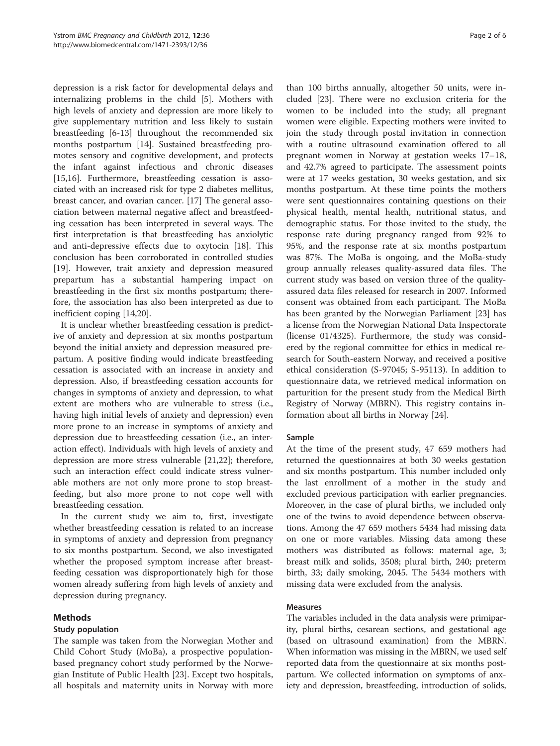depression is a risk factor for developmental delays and internalizing problems in the child [\[5\]](#page-5-0). Mothers with high levels of anxiety and depression are more likely to give supplementary nutrition and less likely to sustain breastfeeding [\[6](#page-5-0)-[13\]](#page-5-0) throughout the recommended six months postpartum [[14](#page-5-0)]. Sustained breastfeeding promotes sensory and cognitive development, and protects the infant against infectious and chronic diseases [[15,16\]](#page-5-0). Furthermore, breastfeeding cessation is associated with an increased risk for type 2 diabetes mellitus, breast cancer, and ovarian cancer. [[17\]](#page-5-0) The general association between maternal negative affect and breastfeeding cessation has been interpreted in several ways. The first interpretation is that breastfeeding has anxiolytic and anti-depressive effects due to oxytocin [[18\]](#page-5-0). This conclusion has been corroborated in controlled studies [[19\]](#page-5-0). However, trait anxiety and depression measured prepartum has a substantial hampering impact on breastfeeding in the first six months postpartum; therefore, the association has also been interpreted as due to inefficient coping [[14,20\]](#page-5-0).

It is unclear whether breastfeeding cessation is predictive of anxiety and depression at six months postpartum beyond the initial anxiety and depression measured prepartum. A positive finding would indicate breastfeeding cessation is associated with an increase in anxiety and depression. Also, if breastfeeding cessation accounts for changes in symptoms of anxiety and depression, to what extent are mothers who are vulnerable to stress (i.e., having high initial levels of anxiety and depression) even more prone to an increase in symptoms of anxiety and depression due to breastfeeding cessation (i.e., an interaction effect). Individuals with high levels of anxiety and depression are more stress vulnerable [[21](#page-5-0),[22](#page-5-0)]; therefore, such an interaction effect could indicate stress vulnerable mothers are not only more prone to stop breastfeeding, but also more prone to not cope well with breastfeeding cessation.

In the current study we aim to, first, investigate whether breastfeeding cessation is related to an increase in symptoms of anxiety and depression from pregnancy to six months postpartum. Second, we also investigated whether the proposed symptom increase after breastfeeding cessation was disproportionately high for those women already suffering from high levels of anxiety and depression during pregnancy.

## Methods

## Study population

The sample was taken from the Norwegian Mother and Child Cohort Study (MoBa), a prospective populationbased pregnancy cohort study performed by the Norwegian Institute of Public Health [\[23\]](#page-5-0). Except two hospitals, all hospitals and maternity units in Norway with more

than 100 births annually, altogether 50 units, were included [\[23](#page-5-0)]. There were no exclusion criteria for the women to be included into the study; all pregnant women were eligible. Expecting mothers were invited to join the study through postal invitation in connection with a routine ultrasound examination offered to all pregnant women in Norway at gestation weeks 17–18, and 42.7% agreed to participate. The assessment points were at 17 weeks gestation, 30 weeks gestation, and six months postpartum. At these time points the mothers were sent questionnaires containing questions on their physical health, mental health, nutritional status, and demographic status. For those invited to the study, the response rate during pregnancy ranged from 92% to 95%, and the response rate at six months postpartum was 87%. The MoBa is ongoing, and the MoBa-study group annually releases quality-assured data files. The current study was based on version three of the qualityassured data files released for research in 2007. Informed consent was obtained from each participant. The MoBa has been granted by the Norwegian Parliament [\[23](#page-5-0)] has a license from the Norwegian National Data Inspectorate (license 01/4325). Furthermore, the study was considered by the regional committee for ethics in medical research for South-eastern Norway, and received a positive ethical consideration (S-97045; S-95113). In addition to questionnaire data, we retrieved medical information on parturition for the present study from the Medical Birth Registry of Norway (MBRN). This registry contains information about all births in Norway [\[24\]](#page-5-0).

#### Sample

At the time of the present study, 47 659 mothers had returned the questionnaires at both 30 weeks gestation and six months postpartum. This number included only the last enrollment of a mother in the study and excluded previous participation with earlier pregnancies. Moreover, in the case of plural births, we included only one of the twins to avoid dependence between observations. Among the 47 659 mothers 5434 had missing data on one or more variables. Missing data among these mothers was distributed as follows: maternal age, 3; breast milk and solids, 3508; plural birth, 240; preterm birth, 33; daily smoking, 2045. The 5434 mothers with missing data were excluded from the analysis.

# Measures

The variables included in the data analysis were primiparity, plural births, cesarean sections, and gestational age (based on ultrasound examination) from the MBRN. When information was missing in the MBRN, we used self reported data from the questionnaire at six months postpartum. We collected information on symptoms of anxiety and depression, breastfeeding, introduction of solids,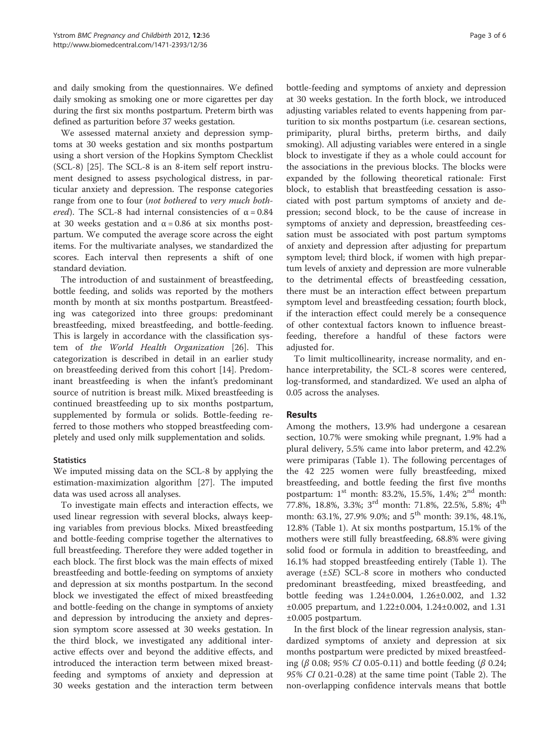and daily smoking from the questionnaires. We defined daily smoking as smoking one or more cigarettes per day during the first six months postpartum. Preterm birth was defined as parturition before 37 weeks gestation.

We assessed maternal anxiety and depression symptoms at 30 weeks gestation and six months postpartum using a short version of the Hopkins Symptom Checklist (SCL-8) [\[25](#page-5-0)]. The SCL-8 is an 8-item self report instrument designed to assess psychological distress, in particular anxiety and depression. The response categories range from one to four (not bothered to very much bothered). The SCL-8 had internal consistencies of  $\alpha = 0.84$ at 30 weeks gestation and  $α = 0.86$  at six months postpartum. We computed the average score across the eight items. For the multivariate analyses, we standardized the scores. Each interval then represents a shift of one standard deviation.

The introduction of and sustainment of breastfeeding, bottle feeding, and solids was reported by the mothers month by month at six months postpartum. Breastfeeding was categorized into three groups: predominant breastfeeding, mixed breastfeeding, and bottle-feeding. This is largely in accordance with the classification system of the World Health Organization [[26](#page-5-0)]. This categorization is described in detail in an earlier study on breastfeeding derived from this cohort [\[14](#page-5-0)]. Predominant breastfeeding is when the infant's predominant source of nutrition is breast milk. Mixed breastfeeding is continued breastfeeding up to six months postpartum, supplemented by formula or solids. Bottle-feeding referred to those mothers who stopped breastfeeding completely and used only milk supplementation and solids.

## **Statistics**

We imputed missing data on the SCL-8 by applying the estimation-maximization algorithm [\[27](#page-5-0)]. The imputed data was used across all analyses.

To investigate main effects and interaction effects, we used linear regression with several blocks, always keeping variables from previous blocks. Mixed breastfeeding and bottle-feeding comprise together the alternatives to full breastfeeding. Therefore they were added together in each block. The first block was the main effects of mixed breastfeeding and bottle-feeding on symptoms of anxiety and depression at six months postpartum. In the second block we investigated the effect of mixed breastfeeding and bottle-feeding on the change in symptoms of anxiety and depression by introducing the anxiety and depression symptom score assessed at 30 weeks gestation. In the third block, we investigated any additional interactive effects over and beyond the additive effects, and introduced the interaction term between mixed breastfeeding and symptoms of anxiety and depression at 30 weeks gestation and the interaction term between bottle-feeding and symptoms of anxiety and depression at 30 weeks gestation. In the forth block, we introduced adjusting variables related to events happening from parturition to six months postpartum (i.e. cesarean sections, primiparity, plural births, preterm births, and daily smoking). All adjusting variables were entered in a single block to investigate if they as a whole could account for the associations in the previous blocks. The blocks were expanded by the following theoretical rationale: First block, to establish that breastfeeding cessation is associated with post partum symptoms of anxiety and depression; second block, to be the cause of increase in symptoms of anxiety and depression, breastfeeding cessation must be associated with post partum symptoms of anxiety and depression after adjusting for prepartum symptom level; third block, if women with high prepartum levels of anxiety and depression are more vulnerable to the detrimental effects of breastfeeding cessation, there must be an interaction effect between prepartum symptom level and breastfeeding cessation; fourth block, if the interaction effect could merely be a consequence of other contextual factors known to influence breastfeeding, therefore a handful of these factors were adjusted for.

To limit multicollinearity, increase normality, and enhance interpretability, the SCL-8 scores were centered, log-transformed, and standardized. We used an alpha of 0.05 across the analyses.

## Results

Among the mothers, 13.9% had undergone a cesarean section, 10.7% were smoking while pregnant, 1.9% had a plural delivery, 5.5% came into labor preterm, and 42.2% were primiparas (Table [1\)](#page-3-0). The following percentages of the 42 225 women were fully breastfeeding, mixed breastfeeding, and bottle feeding the first five months postpartum:  $1^{st}$  month: 83.2%, 15.5%, 1.4%;  $2^{nd}$  month: 77.8%, 18.8%, 3.3%; 3<sup>rd</sup> month: 71.8%, 22.5%, 5.8%; 4<sup>th</sup> month: 63.1%, 27.9% 9.0%; and 5<sup>th</sup> month: 39.1%, 48.1%, 12.8% (Table [1\)](#page-3-0). At six months postpartum, 15.1% of the mothers were still fully breastfeeding, 68.8% were giving solid food or formula in addition to breastfeeding, and 16.1% had stopped breastfeeding entirely (Table [1](#page-3-0)). The average (±SE) SCL-8 score in mothers who conducted predominant breastfeeding, mixed breastfeeding, and bottle feeding was 1.24±0.004, 1.26±0.002, and 1.32 ±0.005 prepartum, and 1.22±0.004, 1.24±0.002, and 1.31 ±0.005 postpartum.

In the first block of the linear regression analysis, standardized symptoms of anxiety and depression at six months postpartum were predicted by mixed breastfeeding (β 0.08; 95% CI 0.05-0.11) and bottle feeding (β 0.24; 95% CI 0.21-0.28) at the same time point (Table [2\)](#page-4-0). The non-overlapping confidence intervals means that bottle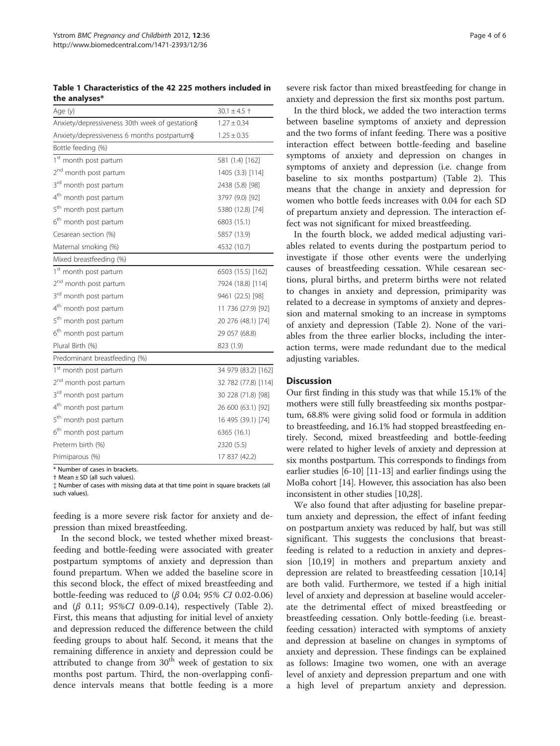<span id="page-3-0"></span>Table 1 Characteristics of the 42 225 mothers included in the analyses\*

| Age (y)                                                           | $30.1 \pm 4.5$ †    |  |  |  |
|-------------------------------------------------------------------|---------------------|--|--|--|
| Anxiety/depressiveness 30th week of gestation§<br>$1.27 \pm 0.34$ |                     |  |  |  |
| Anxiety/depressiveness 6 months postpartum§                       | $1.25 \pm 0.35$     |  |  |  |
| Bottle feeding (%)                                                |                     |  |  |  |
| 1 <sup>st</sup> month post partum                                 | 581 (1.4) [162]     |  |  |  |
| 2 <sup>nd</sup> month post partum                                 | 1405 (3.3) [114]    |  |  |  |
| 3rd month post partum                                             | 2438 (5.8) [98]     |  |  |  |
| 4 <sup>th</sup> month post partum                                 | 3797 (9.0) [92]     |  |  |  |
| 5 <sup>th</sup> month post partum                                 | 5380 (12.8) [74]    |  |  |  |
| 6 <sup>th</sup> month post partum                                 | 6803 (15.1)         |  |  |  |
| Cesarean section (%)                                              | 5857 (13.9)         |  |  |  |
| Maternal smoking (%)                                              | 4532 (10.7)         |  |  |  |
| Mixed breastfeeding (%)                                           |                     |  |  |  |
| 1 <sup>st</sup> month post partum                                 | 6503 (15.5) [162]   |  |  |  |
| 2 <sup>nd</sup> month post partum                                 | 7924 (18.8) [114]   |  |  |  |
| 3 <sup>rd</sup> month post partum                                 | 9461 (22.5) [98]    |  |  |  |
| 4 <sup>th</sup> month post partum<br>11 736 (27.9) [92]           |                     |  |  |  |
| 5 <sup>th</sup> month post partum<br>20 276 (48.1) [74]           |                     |  |  |  |
| 6 <sup>th</sup> month post partum<br>29 057 (68.8)                |                     |  |  |  |
| Plural Birth (%)                                                  | 823 (1.9)           |  |  |  |
| Predominant breastfeeding (%)                                     |                     |  |  |  |
| 1 <sup>st</sup> month post partum                                 | 34 979 (83.2) [162] |  |  |  |
| 2 <sup>nd</sup> month post partum                                 | 32 782 (77.8) [114] |  |  |  |
| 3 <sup>rd</sup> month post partum                                 | 30 228 (71.8) [98]  |  |  |  |
| 4 <sup>th</sup> month post partum                                 | 26 600 (63.1) [92]  |  |  |  |
| 5 <sup>th</sup> month post partum<br>16 495 (39.1) [74]           |                     |  |  |  |
| 6 <sup>th</sup> month post partum                                 | 6365 (16.1)         |  |  |  |
| Preterm birth (%)                                                 | 2320 (5.5)          |  |  |  |
| Primiparous (%)                                                   | 17 837 (42.2)       |  |  |  |

\* Number of cases in brackets. † Mean ± SD (all such values).

{ Number of cases with missing data at that time point in square brackets (all such values).

feeding is a more severe risk factor for anxiety and depression than mixed breastfeeding.

In the second block, we tested whether mixed breastfeeding and bottle-feeding were associated with greater postpartum symptoms of anxiety and depression than found prepartum. When we added the baseline score in this second block, the effect of mixed breastfeeding and bottle-feeding was reduced to  $(\beta \ 0.04; 95\% \ CI \ 0.02-0.06)$ and (β 0.11;  $95\%CI$  0.09-0.14), respectively (Table [2](#page-4-0)). First, this means that adjusting for initial level of anxiety and depression reduced the difference between the child feeding groups to about half. Second, it means that the remaining difference in anxiety and depression could be attributed to change from  $30<sup>th</sup>$  week of gestation to six months post partum. Third, the non-overlapping confidence intervals means that bottle feeding is a more

severe risk factor than mixed breastfeeding for change in anxiety and depression the first six months post partum.

In the third block, we added the two interaction terms between baseline symptoms of anxiety and depression and the two forms of infant feeding. There was a positive interaction effect between bottle-feeding and baseline symptoms of anxiety and depression on changes in symptoms of anxiety and depression (i.e. change from baseline to six months postpartum) (Table [2](#page-4-0)). This means that the change in anxiety and depression for women who bottle feeds increases with 0.04 for each SD of prepartum anxiety and depression. The interaction effect was not significant for mixed breastfeeding.

In the fourth block, we added medical adjusting variables related to events during the postpartum period to investigate if those other events were the underlying causes of breastfeeding cessation. While cesarean sections, plural births, and preterm births were not related to changes in anxiety and depression, primiparity was related to a decrease in symptoms of anxiety and depression and maternal smoking to an increase in symptoms of anxiety and depression (Table [2](#page-4-0)). None of the variables from the three earlier blocks, including the interaction terms, were made redundant due to the medical adjusting variables.

#### **Discussion**

Our first finding in this study was that while 15.1% of the mothers were still fully breastfeeding six months postpartum, 68.8% were giving solid food or formula in addition to breastfeeding, and 16.1% had stopped breastfeeding entirely. Second, mixed breastfeeding and bottle-feeding were related to higher levels of anxiety and depression at six months postpartum. This corresponds to findings from earlier studies [\[6-10\]](#page-5-0) [\[11-13\]](#page-5-0) and earlier findings using the MoBa cohort [[14](#page-5-0)]. However, this association has also been inconsistent in other studies [[10,28](#page-5-0)].

We also found that after adjusting for baseline prepartum anxiety and depression, the effect of infant feeding on postpartum anxiety was reduced by half, but was still significant. This suggests the conclusions that breastfeeding is related to a reduction in anxiety and depression [\[10,19\]](#page-5-0) in mothers and prepartum anxiety and depression are related to breastfeeding cessation [[10](#page-5-0),[14](#page-5-0)] are both valid. Furthermore, we tested if a high initial level of anxiety and depression at baseline would accelerate the detrimental effect of mixed breastfeeding or breastfeeding cessation. Only bottle-feeding (i.e. breastfeeding cessation) interacted with symptoms of anxiety and depression at baseline on changes in symptoms of anxiety and depression. These findings can be explained as follows: Imagine two women, one with an average level of anxiety and depression prepartum and one with a high level of prepartum anxiety and depression.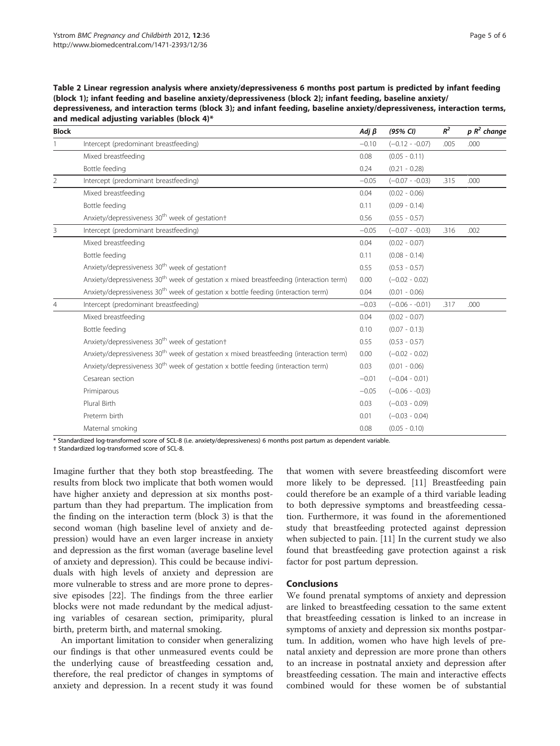<span id="page-4-0"></span>Table 2 Linear regression analysis where anxiety/depressiveness 6 months post partum is predicted by infant feeding (block 1); infant feeding and baseline anxiety/depressiveness (block 2); infant feeding, baseline anxiety/ depressiveness, and interaction terms (block 3); and infant feeding, baseline anxiety/depressiveness, interaction terms, and medical adjusting variables (block 4)\*

| <b>Block</b> |                                                                                                    | $Adj \beta$ | (95% CI)         | $R^2$ | $p R2$ change |
|--------------|----------------------------------------------------------------------------------------------------|-------------|------------------|-------|---------------|
|              | Intercept (predominant breastfeeding)                                                              | $-0.10$     | $(-0.12 - 0.07)$ | .005  | .000          |
|              | Mixed breastfeeding                                                                                | 0.08        | $(0.05 - 0.11)$  |       |               |
|              | Bottle feeding                                                                                     | 0.24        | $(0.21 - 0.28)$  |       |               |
| 2            | Intercept (predominant breastfeeding)                                                              | $-0.05$     | $(-0.07 - 0.03)$ | .315  | .000          |
|              | Mixed breastfeeding                                                                                | 0.04        | $(0.02 - 0.06)$  |       |               |
|              | Bottle feeding                                                                                     | 0.11        | $(0.09 - 0.14)$  |       |               |
|              | Anxiety/depressiveness 30 <sup>th</sup> week of gestation <sup>+</sup>                             | 0.56        | $(0.55 - 0.57)$  |       |               |
| 3            | Intercept (predominant breastfeeding)                                                              | $-0.05$     | $(-0.07 - 0.03)$ | .316  | .002          |
|              | Mixed breastfeeding                                                                                | 0.04        | $(0.02 - 0.07)$  |       |               |
|              | Bottle feeding                                                                                     | 0.11        | $(0.08 - 0.14)$  |       |               |
|              | Anxiety/depressiveness 30 <sup>th</sup> week of gestation <sup>+</sup>                             | 0.55        | $(0.53 - 0.57)$  |       |               |
|              | Anxiety/depressiveness 30 <sup>th</sup> week of gestation x mixed breastfeeding (interaction term) | 0.00        | $(-0.02 - 0.02)$ |       |               |
|              | Anxiety/depressiveness 30 <sup>th</sup> week of gestation x bottle feeding (interaction term)      | 0.04        | $(0.01 - 0.06)$  |       |               |
| 4            | Intercept (predominant breastfeeding)                                                              | $-0.03$     | $(-0.06 - 0.01)$ | .317  | .000          |
|              | Mixed breastfeeding                                                                                | 0.04        | $(0.02 - 0.07)$  |       |               |
|              | Bottle feeding                                                                                     | 0.10        | $(0.07 - 0.13)$  |       |               |
|              | Anxiety/depressiveness 30 <sup>th</sup> week of gestationt                                         | 0.55        | $(0.53 - 0.57)$  |       |               |
|              | Anxiety/depressiveness 30 <sup>th</sup> week of gestation x mixed breastfeeding (interaction term) | 0.00        | $(-0.02 - 0.02)$ |       |               |
|              | Anxiety/depressiveness 30 <sup>th</sup> week of gestation x bottle feeding (interaction term)      | 0.03        | $(0.01 - 0.06)$  |       |               |
|              | Cesarean section                                                                                   | $-0.01$     | $(-0.04 - 0.01)$ |       |               |
|              | Primiparous                                                                                        | $-0.05$     | $(-0.06 - 0.03)$ |       |               |
|              | Plural Birth                                                                                       | 0.03        | $(-0.03 - 0.09)$ |       |               |
|              | Preterm birth                                                                                      | 0.01        | $(-0.03 - 0.04)$ |       |               |
|              | Maternal smoking                                                                                   | 0.08        | $(0.05 - 0.10)$  |       |               |

\* Standardized log-transformed score of SCL-8 (i.e. anxiety/depressiveness) 6 months post partum as dependent variable.

† Standardized log-transformed score of SCL-8.

Imagine further that they both stop breastfeeding. The results from block two implicate that both women would have higher anxiety and depression at six months postpartum than they had prepartum. The implication from the finding on the interaction term (block 3) is that the second woman (high baseline level of anxiety and depression) would have an even larger increase in anxiety and depression as the first woman (average baseline level of anxiety and depression). This could be because individuals with high levels of anxiety and depression are more vulnerable to stress and are more prone to depressive episodes [[22\]](#page-5-0). The findings from the three earlier blocks were not made redundant by the medical adjusting variables of cesarean section, primiparity, plural birth, preterm birth, and maternal smoking.

An important limitation to consider when generalizing our findings is that other unmeasured events could be the underlying cause of breastfeeding cessation and, therefore, the real predictor of changes in symptoms of anxiety and depression. In a recent study it was found that women with severe breastfeeding discomfort were more likely to be depressed. [[11\]](#page-5-0) Breastfeeding pain could therefore be an example of a third variable leading to both depressive symptoms and breastfeeding cessation. Furthermore, it was found in the aforementioned study that breastfeeding protected against depression when subjected to pain. [[11](#page-5-0)] In the current study we also found that breastfeeding gave protection against a risk factor for post partum depression.

#### **Conclusions**

We found prenatal symptoms of anxiety and depression are linked to breastfeeding cessation to the same extent that breastfeeding cessation is linked to an increase in symptoms of anxiety and depression six months postpartum. In addition, women who have high levels of prenatal anxiety and depression are more prone than others to an increase in postnatal anxiety and depression after breastfeeding cessation. The main and interactive effects combined would for these women be of substantial